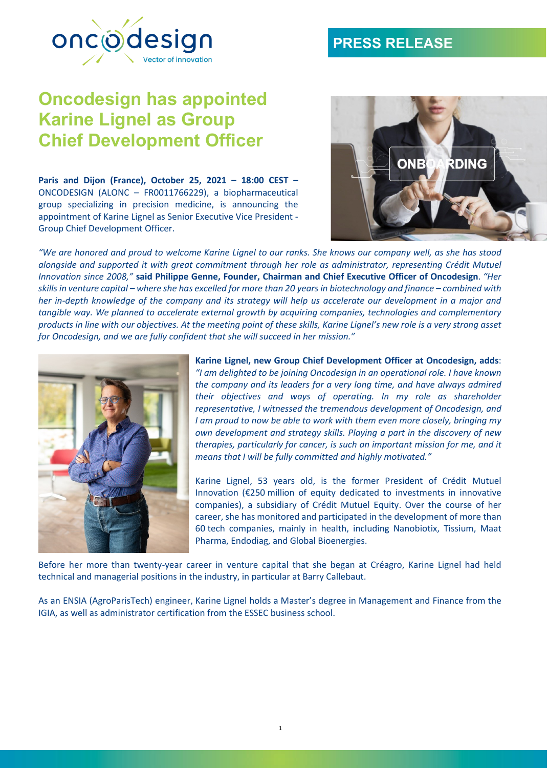# **PRESS RELEASE**



# **Oncodesign has appointed Karine Lignel as Group Chief Development Officer**

**Paris and Dijon (France), October 25, 2021 – 18:00 CEST –** ONCODESIGN (ALONC – FR0011766229), a biopharmaceutical group specializing in precision medicine, is announcing the appointment of Karine Lignel as Senior Executive Vice President - Group Chief Development Officer.



"We are honored and proud to welcome Karine Lignel to our ranks. She knows our company well, as she has stood *alongside and supported it with great commitment through her role as administrator, representing Crédit Mutuel Innovation since 2008,"* **said Philippe Genne, Founder, Chairman and Chief Executive Officer of Oncodesign**. *"Her* skills in venture capital – where she has excelled for more than 20 years in biotechnology and finance – combined with her in-depth knowledge of the company and its strategy will help us accelerate our development in a major and *tangible way. We planned to accelerate external growth by acquiring companies, technologies and complementary* products in line with our objectives. At the meeting point of these skills, Karine Lignel's new role is a very strong asset *for Oncodesign, and we are fully confident that she will succeed in her mission."*



**Karine Lignel, new Group Chief Development Officer at Oncodesign, adds**: *"I am delighted to be joining Oncodesign in an operational role. I have known the company and its leaders for a very long time, and have always admired their objectives and ways of operating. In my role as shareholder representative, I witnessed the tremendous development of Oncodesign, and I am proud to now be able to work with them even more closely, bringing my own development and strategy skills. Playing a part in the discovery of new therapies, particularly for cancer, is such an important mission for me, and it means that I will be fully committed and highly motivated."*

Karine Lignel, 53 years old, is the former President of Crédit Mutuel Innovation (€250 million of equity dedicated to investments in innovative companies), a subsidiary of Crédit Mutuel Equity. Over the course of her career, she has monitored and participated in the development of more than 60 tech companies, mainly in health, including Nanobiotix, Tissium, Maat Pharma, Endodiag, and Global Bioenergies.

Before her more than twenty-year career in venture capital that she began at Créagro, Karine Lignel had held technical and managerial positions in the industry, in particular at Barry Callebaut.

As an ENSIA (AgroParisTech) engineer, Karine Lignel holds a Master's degree in Management and Finance from the IGIA, as well as administrator certification from the ESSEC business school.